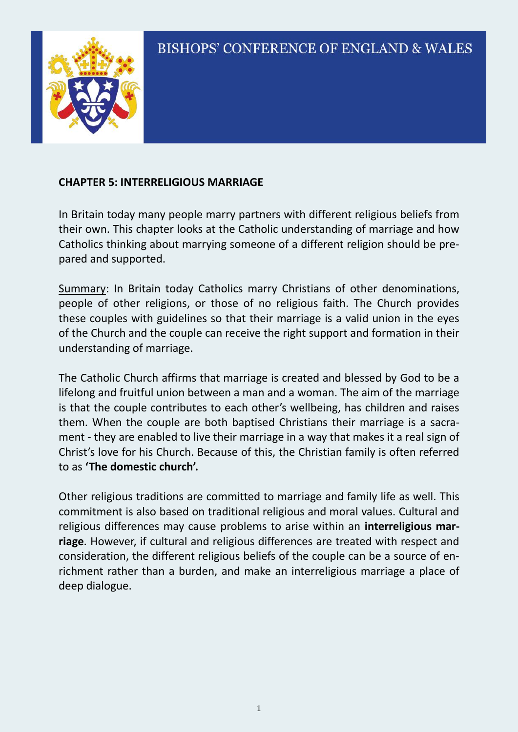

### **CHAPTER 5: INTERRELIGIOUS MARRIAGE**

In Britain today many people marry partners with different religious beliefs from their own. This chapter looks at the Catholic understanding of marriage and how Catholics thinking about marrying someone of a different religion should be prepared and supported.

Summary: In Britain today Catholics marry Christians of other denominations, people of other religions, or those of no religious faith. The Church provides these couples with guidelines so that their marriage is a valid union in the eyes of the Church and the couple can receive the right support and formation in their understanding of marriage.

The Catholic Church affirms that marriage is created and blessed by God to be a lifelong and fruitful union between a man and a woman. The aim of the marriage is that the couple contributes to each other's wellbeing, has children and raises them. When the couple are both baptised Christians their marriage is a sacrament - they are enabled to live their marriage in a way that makes it a real sign of Christ's love for his Church. Because of this, the Christian family is often referred to as **'The domestic church'.**

Other religious traditions are committed to marriage and family life as well. This commitment is also based on traditional religious and moral values. Cultural and religious differences may cause problems to arise within an **interreligious marriage**. However, if cultural and religious differences are treated with respect and consideration, the different religious beliefs of the couple can be a source of enrichment rather than a burden, and make an interreligious marriage a place of deep dialogue.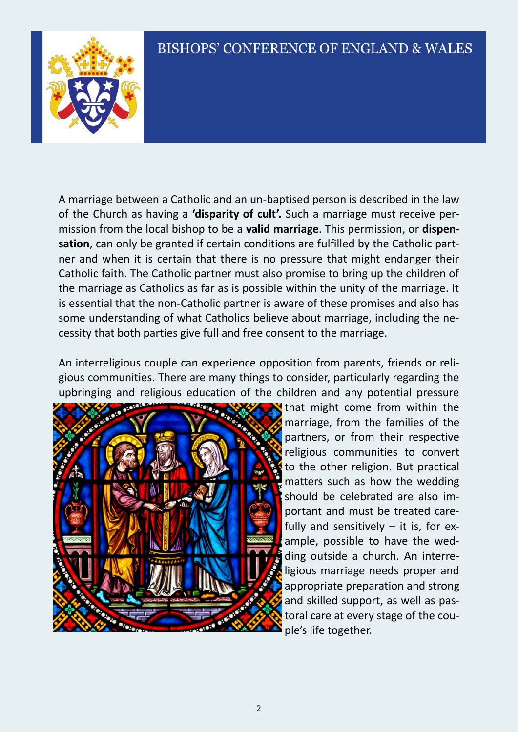

A marriage between a Catholic and an un-baptised person is described in the law of the Church as having a **'disparity of cult'.** Such a marriage must receive permission from the local bishop to be a **valid marriage**. This permission, or **dispensation**, can only be granted if certain conditions are fulfilled by the Catholic partner and when it is certain that there is no pressure that might endanger their Catholic faith. The Catholic partner must also promise to bring up the children of the marriage as Catholics as far as is possible within the unity of the marriage. It is essential that the non-Catholic partner is aware of these promises and also has some understanding of what Catholics believe about marriage, including the necessity that both parties give full and free consent to the marriage.

An interreligious couple can experience opposition from parents, friends or religious communities. There are many things to consider, particularly regarding the upbringing and religious education of the children and any potential pressure



that might come from within the marriage, from the families of the partners, or from their respective religious communities to convert to the other religion. But practical matters such as how the wedding should be celebrated are also important and must be treated carefully and sensitively  $-$  it is, for example, possible to have the wedding outside a church. An interreligious marriage needs proper and appropriate preparation and strong and skilled support, as well as pastoral care at every stage of the couple's life together.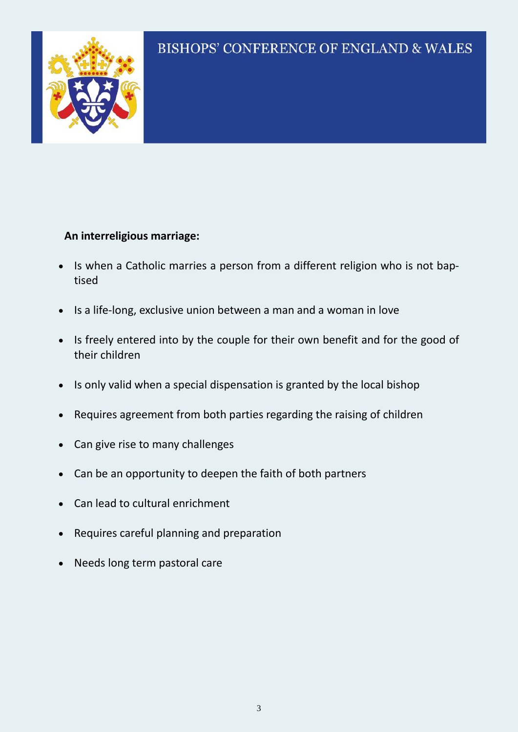

#### **An interreligious marriage:**

- Is when a Catholic marries a person from a different religion who is not baptised
- Is a life-long, exclusive union between a man and a woman in love
- Is freely entered into by the couple for their own benefit and for the good of their children
- Is only valid when a special dispensation is granted by the local bishop
- Requires agreement from both parties regarding the raising of children
- Can give rise to many challenges
- Can be an opportunity to deepen the faith of both partners
- Can lead to cultural enrichment
- Requires careful planning and preparation
- Needs long term pastoral care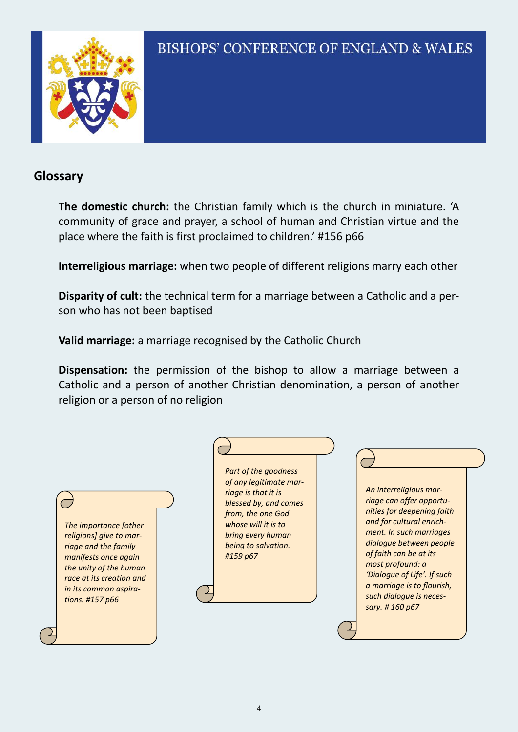

### **Glossary**

**The domestic church:** the Christian family which is the church in miniature. 'A community of grace and prayer, a school of human and Christian virtue and the place where the faith is first proclaimed to children.' #156 p66

**Interreligious marriage:** when two people of different religions marry each other

**Disparity of cult:** the technical term for a marriage between a Catholic and a person who has not been baptised

**Valid marriage:** a marriage recognised by the Catholic Church

**Dispensation:** the permission of the bishop to allow a marriage between a Catholic and a person of another Christian denomination, a person of another religion or a person of no religion

| 'Dialogue of Life'. If such<br>race at its creation and<br>a marriage is to flourish,<br>in its common aspira-<br>such dialogue is neces-<br>tions. #157 p66<br>sary. #160 p67 | The importance [other<br>religions] give to mar-<br>riage and the family<br>manifests once again<br>the unity of the human | Part of the goodness<br>of any legitimate mar-<br>riage is that it is<br>blessed by, and comes<br>from, the one God<br>whose will it is to<br>bring every human<br>being to salvation.<br>#159 p67 | An interreligious mar-<br>riage can offer opportu-<br>nities for deepening faith<br>and for cultural enrich-<br>ment. In such marriages<br>dialogue between people<br>of faith can be at its<br>most profound: a |
|--------------------------------------------------------------------------------------------------------------------------------------------------------------------------------|----------------------------------------------------------------------------------------------------------------------------|----------------------------------------------------------------------------------------------------------------------------------------------------------------------------------------------------|------------------------------------------------------------------------------------------------------------------------------------------------------------------------------------------------------------------|
|--------------------------------------------------------------------------------------------------------------------------------------------------------------------------------|----------------------------------------------------------------------------------------------------------------------------|----------------------------------------------------------------------------------------------------------------------------------------------------------------------------------------------------|------------------------------------------------------------------------------------------------------------------------------------------------------------------------------------------------------------------|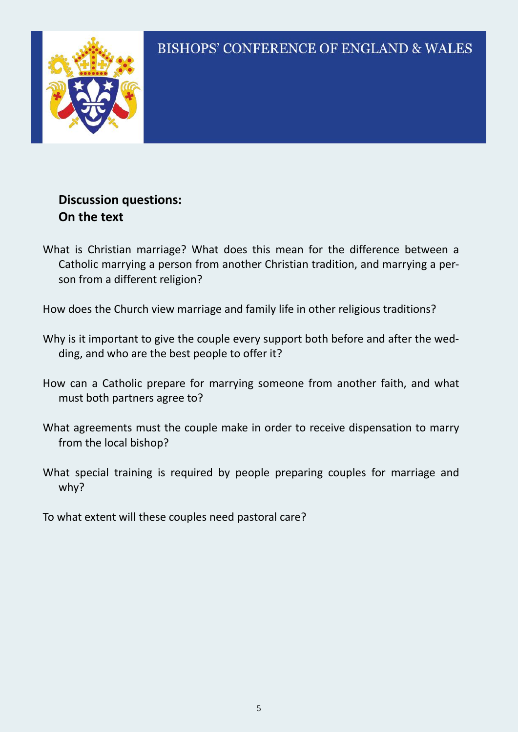

### **Discussion questions: On the text**

What is Christian marriage? What does this mean for the difference between a Catholic marrying a person from another Christian tradition, and marrying a person from a different religion?

How does the Church view marriage and family life in other religious traditions?

- Why is it important to give the couple every support both before and after the wedding, and who are the best people to offer it?
- How can a Catholic prepare for marrying someone from another faith, and what must both partners agree to?
- What agreements must the couple make in order to receive dispensation to marry from the local bishop?
- What special training is required by people preparing couples for marriage and why?

To what extent will these couples need pastoral care?